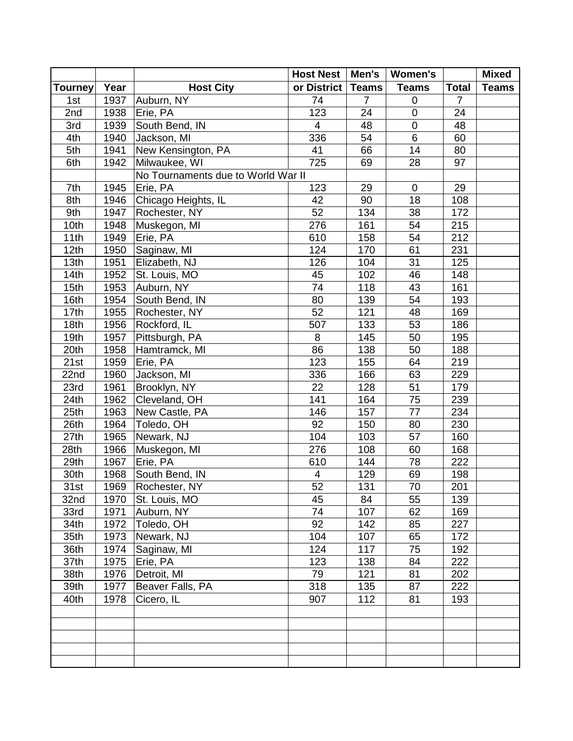|         |      |                                    | <b>Host Nest</b>         | Men's          | <b>Women's</b>   |                | <b>Mixed</b> |
|---------|------|------------------------------------|--------------------------|----------------|------------------|----------------|--------------|
| Tourney | Year | <b>Host City</b>                   | or District              | <b>Teams</b>   | <b>Teams</b>     | <b>Total</b>   | <b>Teams</b> |
| 1st     | 1937 | Auburn, NY                         | 74                       | $\overline{7}$ | $\mathbf 0$      | $\overline{7}$ |              |
| 2nd     | 1938 | Erie, PA                           | 123                      | 24             | $\boldsymbol{0}$ | 24             |              |
| 3rd     | 1939 | South Bend, IN                     | 4                        | 48             | $\pmb{0}$        | 48             |              |
| 4th     | 1940 | Jackson, MI                        | 336                      | 54             | $6\phantom{1}$   | 60             |              |
| 5th     | 1941 | New Kensington, PA                 | 41                       | 66             | 14               | 80             |              |
| 6th     | 1942 | Milwaukee, WI                      | 725                      | 69             | 28               | 97             |              |
|         |      | No Tournaments due to World War II |                          |                |                  |                |              |
| 7th     | 1945 | Erie, PA                           | 123                      | 29             | $\overline{0}$   | 29             |              |
| 8th     | 1946 | Chicago Heights, IL                | 42                       | 90             | 18               | 108            |              |
| 9th     | 1947 | Rochester, NY                      | $\overline{52}$          | 134            | 38               | 172            |              |
| 10th    | 1948 | Muskegon, MI                       | 276                      | 161            | 54               | 215            |              |
| 11th    | 1949 | Erie, PA                           | 610                      | 158            | 54               | 212            |              |
| 12th    | 1950 | Saginaw, MI                        | 124                      | 170            | 61               | 231            |              |
| 13th    | 1951 | Elizabeth, NJ                      | 126                      | 104            | 31               | 125            |              |
| 14th    | 1952 | St. Louis, MO                      | 45                       | 102            | 46               | 148            |              |
| 15th    | 1953 | Auburn, NY                         | 74                       | 118            | 43               | 161            |              |
| 16th    | 1954 | South Bend, IN                     | 80                       | 139            | 54               | 193            |              |
| 17th    | 1955 | Rochester, NY                      | 52                       | 121            | 48               | 169            |              |
| 18th    | 1956 | Rockford, IL                       | 507                      | 133            | 53               | 186            |              |
| 19th    | 1957 | Pittsburgh, PA                     | 8                        | 145            | 50               | 195            |              |
| 20th    | 1958 | Hamtramck, MI                      | 86                       | 138            | 50               | 188            |              |
| 21st    | 1959 | Erie, PA                           | 123                      | 155            | 64               | 219            |              |
| 22nd    | 1960 | Jackson, MI                        | 336                      | 166            | 63               | 229            |              |
| 23rd    | 1961 | Brooklyn, NY                       | 22                       | 128            | 51               | 179            |              |
| 24th    | 1962 | Cleveland, OH                      | 141                      | 164            | 75               | 239            |              |
| 25th    | 1963 | New Castle, PA                     | 146                      | 157            | 77               | 234            |              |
| 26th    | 1964 | Toledo, OH                         | 92                       | 150            | 80               | 230            |              |
| 27th    | 1965 | Newark, NJ                         | 104                      | 103            | 57               | 160            |              |
| 28th    | 1966 | Muskegon, MI                       | 276                      | 108            | 60               | 168            |              |
| 29th    | 1967 | Erie, PA                           | 610                      | 144            | 78               | 222            |              |
| 30th    | 1968 | South Bend, IN                     | $\overline{\mathcal{A}}$ | 129            | 69               | 198            |              |
| 31st    | 1969 | Rochester, NY                      | 52                       | 131            | $70\,$           | 201            |              |
| 32nd    | 1970 | St. Louis, MO                      | 45                       | 84             | 55               | 139            |              |
| 33rd    | 1971 | Auburn, NY                         | 74                       | 107            | 62               | 169            |              |
| 34th    | 1972 | Toledo, OH                         | 92                       | 142            | 85               | 227            |              |
| 35th    | 1973 | Newark, NJ                         | 104                      | 107            | 65               | 172            |              |
| 36th    | 1974 | Saginaw, MI                        | 124                      | 117            | 75               | 192            |              |
| 37th    | 1975 | Erie, PA                           | 123                      | 138            | 84               | 222            |              |
| 38th    | 1976 | Detroit, MI                        | 79                       | 121            | 81               | 202            |              |
| 39th    | 1977 | Beaver Falls, PA                   | 318                      | 135            | 87               | 222            |              |
| 40th    | 1978 | Cicero, IL                         | 907                      | 112            | 81               | 193            |              |
|         |      |                                    |                          |                |                  |                |              |
|         |      |                                    |                          |                |                  |                |              |
|         |      |                                    |                          |                |                  |                |              |
|         |      |                                    |                          |                |                  |                |              |
|         |      |                                    |                          |                |                  |                |              |